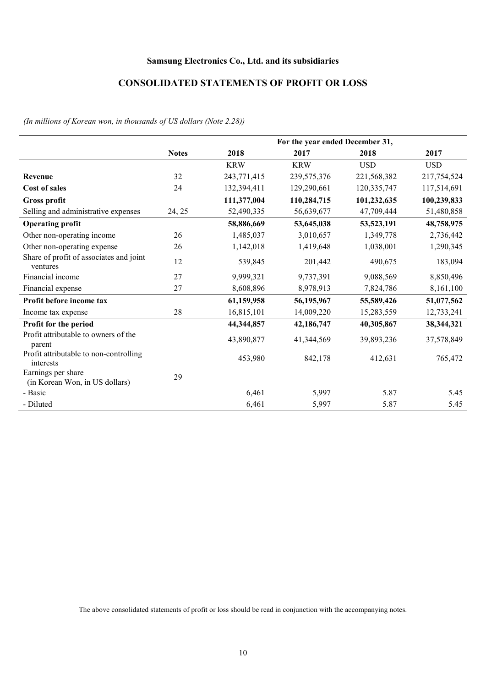## Samsung Electronics Co., Ltd. and its subsidiaries

## CONSOLIDATED STATEMENTS OF PROFIT OR LOSS

(In millions of Korean won, in thousands of US dollars (Note 2.28))

|                                                      |              | For the year ended December 31, |               |             |             |  |  |  |
|------------------------------------------------------|--------------|---------------------------------|---------------|-------------|-------------|--|--|--|
|                                                      | <b>Notes</b> | 2018                            | 2017          | 2018        | 2017        |  |  |  |
|                                                      |              | <b>KRW</b>                      | <b>KRW</b>    | <b>USD</b>  | <b>USD</b>  |  |  |  |
| Revenue                                              | 32           | 243,771,415                     | 239, 575, 376 | 221,568,382 | 217,754,524 |  |  |  |
| <b>Cost of sales</b>                                 | 24           | 132,394,411                     | 129,290,661   | 120,335,747 | 117,514,691 |  |  |  |
| <b>Gross profit</b>                                  |              | 111,377,004                     | 110,284,715   | 101,232,635 | 100,239,833 |  |  |  |
| Selling and administrative expenses                  | 24, 25       | 52,490,335                      | 56,639,677    | 47,709,444  | 51,480,858  |  |  |  |
| <b>Operating profit</b>                              |              | 58,886,669                      | 53,645,038    | 53,523,191  | 48,758,975  |  |  |  |
| Other non-operating income                           | 26           | 1,485,037                       | 3,010,657     | 1,349,778   | 2,736,442   |  |  |  |
| Other non-operating expense                          | 26           | 1,142,018                       | 1,419,648     | 1,038,001   | 1,290,345   |  |  |  |
| Share of profit of associates and joint<br>ventures  | 12           | 539,845                         | 201,442       | 490,675     | 183,094     |  |  |  |
| Financial income                                     | 27           | 9,999,321                       | 9,737,391     | 9,088,569   | 8,850,496   |  |  |  |
| Financial expense                                    | 27           | 8,608,896                       | 8,978,913     | 7,824,786   | 8,161,100   |  |  |  |
| Profit before income tax                             |              | 61,159,958                      | 56,195,967    | 55,589,426  | 51,077,562  |  |  |  |
| Income tax expense                                   | 28           | 16,815,101                      | 14,009,220    | 15,283,559  | 12,733,241  |  |  |  |
| Profit for the period                                |              | 44,344,857                      | 42,186,747    | 40,305,867  | 38,344,321  |  |  |  |
| Profit attributable to owners of the<br>parent       |              | 43,890,877                      | 41,344,569    | 39,893,236  | 37,578,849  |  |  |  |
| Profit attributable to non-controlling<br>interests  |              | 453,980                         | 842,178       | 412,631     | 765,472     |  |  |  |
| Earnings per share<br>(in Korean Won, in US dollars) | 29           |                                 |               |             |             |  |  |  |
| - Basic                                              |              | 6,461                           | 5,997         | 5.87        | 5.45        |  |  |  |
| - Diluted                                            |              | 6,461                           | 5,997         | 5.87        | 5.45        |  |  |  |

The above consolidated statements of profit or loss should be read in conjunction with the accompanying notes.